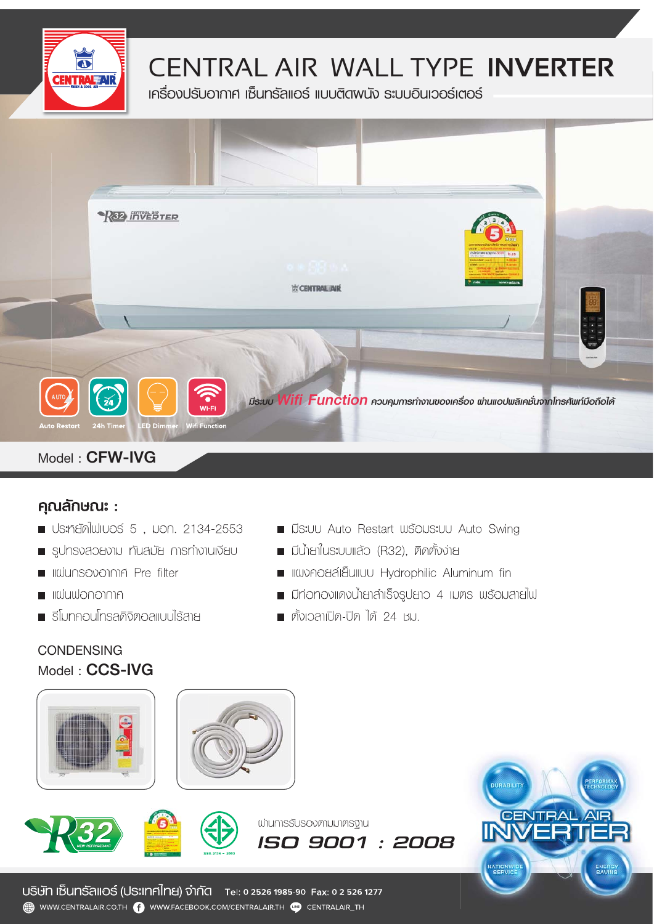

### CENTRAL AIR WALL TYPE INVERTER

เครื่องปรับอากาศ เซ็นทรัลแอร์ แบบติดพนัง ระบบอินเวอร์เตอร์



#### คุณลักษณะ :

- ประท<sub>ั</sub>ยัดไฟเบอร์ 5, มอก. 2134-2553
- sunsvapavnu nualja msnivnulva
- **In Illuiunsovonna Pre filter**
- **INTEGRATION IN THE LIGHT**
- รีโมทคอนโทรลดิจิตอลแบบไร้สาย
- **E มีระบบ Auto Restart พร้อมระบบ Auto Swing**
- มีน้ำยาในระบบแล้ว (R32). ติดตั้งงาย
- **um internative de la construcción de la construcción de la construcción de la construcción de la construcción**
- Unionovinvulada isosuano 4 luns wsouanalw
- ตั้งเวลาเปิด-ปิด ได้ 24 หม.

**whumsSUSOVinNUMinsthu** 

ISO 9001 : 2008









USิิษัท เซ็นทรัลแอร์ (ประเทศไทย) จำกัด Tel: 0 2526 1985-90 Fax: 0 2 526 1277 WWW.CENTRALAIR.CO.TH **(2)** WWW.FACEBOOK.COM/CENTRALAIR.TH **(NB** CENTRALAIR\_TH